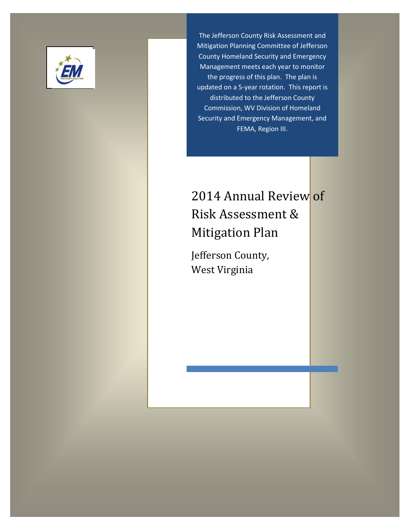

The Jefferson County Risk Assessment and Mitigation Planning Committee of Jefferson County Homeland Security and Emergency Management meets each year to monitor the progress of this plan. The plan is updated on a 5-year rotation. This report is distributed to the Jefferson County Commission, WV Division of Homeland Security and Emergency Management, and FEMA, Region III.

# 2014 Annual Review of Risk Assessment & Mitigation Plan

Jefferson County, West Virginia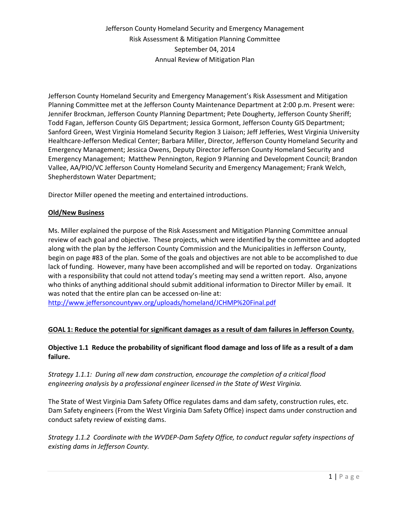Jefferson County Homeland Security and Emergency Management's Risk Assessment and Mitigation Planning Committee met at the Jefferson County Maintenance Department at 2:00 p.m. Present were: Jennifer Brockman, Jefferson County Planning Department; Pete Dougherty, Jefferson County Sheriff; Todd Fagan, Jefferson County GIS Department; Jessica Gormont, Jefferson County GIS Department; Sanford Green, West Virginia Homeland Security Region 3 Liaison; Jeff Jefferies, West Virginia University Healthcare-Jefferson Medical Center; Barbara Miller, Director, Jefferson County Homeland Security and Emergency Management; Jessica Owens, Deputy Director Jefferson County Homeland Security and Emergency Management; Matthew Pennington, Region 9 Planning and Development Council; Brandon Vallee, AA/PIO/VC Jefferson County Homeland Security and Emergency Management; Frank Welch, Shepherdstown Water Department;

Director Miller opened the meeting and entertained introductions.

### **Old/New Business**

Ms. Miller explained the purpose of the Risk Assessment and Mitigation Planning Committee annual review of each goal and objective. These projects, which were identified by the committee and adopted along with the plan by the Jefferson County Commission and the Municipalities in Jefferson County, begin on page #83 of the plan. Some of the goals and objectives are not able to be accomplished to due lack of funding. However, many have been accomplished and will be reported on today. Organizations with a responsibility that could not attend today's meeting may send a written report. Also, anyone who thinks of anything additional should submit additional information to Director Miller by email. It was noted that the entire plan can be accessed on-line at:

<http://www.jeffersoncountywv.org/uploads/homeland/JCHMP%20Final.pdf>

# **GOAL 1: Reduce the potential for significant damages as a result of dam failures in Jefferson County.**

# **Objective 1.1 Reduce the probability of significant flood damage and loss of life as a result of a dam failure.**

*Strategy 1.1.1: During all new dam construction, encourage the completion of a critical flood engineering analysis by a professional engineer licensed in the State of West Virginia.*

The State of West Virginia Dam Safety Office regulates dams and dam safety, construction rules, etc. Dam Safety engineers (From the West Virginia Dam Safety Office) inspect dams under construction and conduct safety review of existing dams.

*Strategy 1.1.2 Coordinate with the WVDEP-Dam Safety Office, to conduct regular safety inspections of existing dams in Jefferson County.*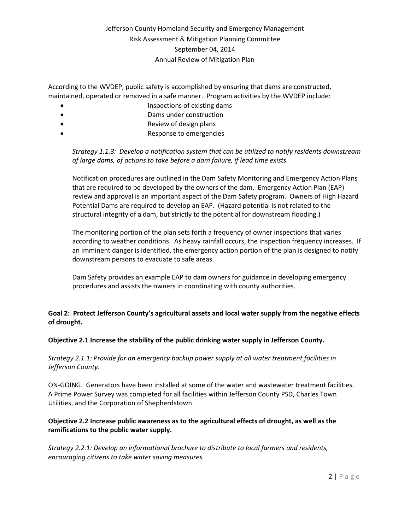According to the WVDEP, public safety is accomplished by ensuring that dams are constructed, maintained, operated or removed in a safe manner. Program activities by the WVDEP include:

- Inspections of existing dams
- Dams under construction
- Review of design plans
- Response to emergencies

*Strategy 1.1.3: Develop a notification system that can be utilized to notify residents downstream of large dams, of actions to take before a dam failure, if lead time exists.*

Notification procedures are outlined in the Dam Safety Monitoring and Emergency Action Plans that are required to be developed by the owners of the dam. Emergency Action Plan (EAP) review and approval is an important aspect of the Dam Safety program. Owners of High Hazard Potential Dams are required to develop an EAP. (Hazard potential is not related to the structural integrity of a dam, but strictly to the potential for downstream flooding.)

The monitoring portion of the plan sets forth a frequency of owner inspections that varies according to weather conditions. As heavy rainfall occurs, the inspection frequency increases. If an imminent danger is identified, the emergency action portion of the plan is designed to notify downstream persons to evacuate to safe areas.

Dam Safety provides an example EAP to dam owners for guidance in developing emergency procedures and assists the owners in coordinating with county authorities.

# **Goal 2: Protect Jefferson County's agricultural assets and local water supply from the negative effects of drought.**

# **Objective 2.1 Increase the stability of the public drinking water supply in Jefferson County.**

*Strategy 2.1.1: Provide for an emergency backup power supply at all water treatment facilities in Jefferson County.*

ON-GOING. Generators have been installed at some of the water and wastewater treatment facilities. A Prime Power Survey was completed for all facilities within Jefferson County PSD, Charles Town Utilities, and the Corporation of Shepherdstown.

# **Objective 2.2 Increase public awareness as to the agricultural effects of drought, as well as the ramifications to the public water supply.**

*Strategy 2.2.1: Develop an informational brochure to distribute to local farmers and residents, encouraging citizens to take water saving measures.*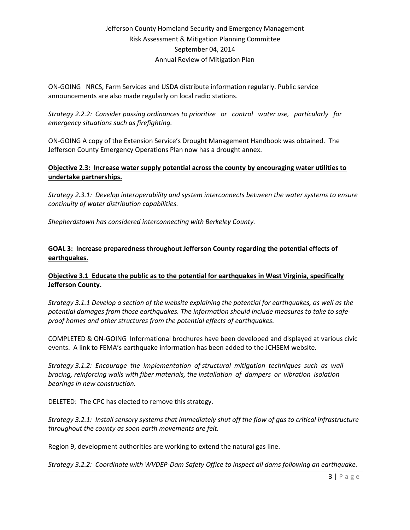ON-GOING NRCS, Farm Services and USDA distribute information regularly. Public service announcements are also made regularly on local radio stations.

*Strategy 2.2.2: Consider passing ordinances to prioritize or control water use, particularly for emergency situations such as firefighting.*

ON-GOING A copy of the Extension Service's Drought Management Handbook was obtained. The Jefferson County Emergency Operations Plan now has a drought annex.

### **Objective 2.3: Increase water supply potential across the county by encouraging water utilities to undertake partnerships.**

*Strategy 2.3.1: Develop interoperability and system interconnects between the water systems to ensure continuity of water distribution capabilities.*

*Shepherdstown has considered interconnecting with Berkeley County.*

### **GOAL 3: Increase preparedness throughout Jefferson County regarding the potential effects of earthquakes.**

# **Objective 3.1 Educate the public as to the potential for earthquakes in West Virginia, specifically Jefferson County.**

*Strategy 3.1.1 Develop a section of the website explaining the potential for earthquakes, as well as the potential damages from those earthquakes. The information should include measures to take to safeproof homes and other structures from the potential effects of earthquakes.*

COMPLETED & ON-GOING Informational brochures have been developed and displayed at various civic events. A link to FEMA's earthquake information has been added to the JCHSEM website.

*Strategy 3.1.2: Encourage the implementation of structural mitigation techniques such as wall bracing, reinforcing walls with fiber materials, the installation of dampers or vibration isolation bearings in new construction.*

DELETED: The CPC has elected to remove this strategy.

*Strategy 3.2.1: Install sensory systems that immediately shut off the flow of gas to critical infrastructure throughout the county as soon earth movements are felt.*

Region 9, development authorities are working to extend the natural gas line.

*Strategy 3.2.2: Coordinate with WVDEP-Dam Safety Office to inspect all dams following an earthquake.*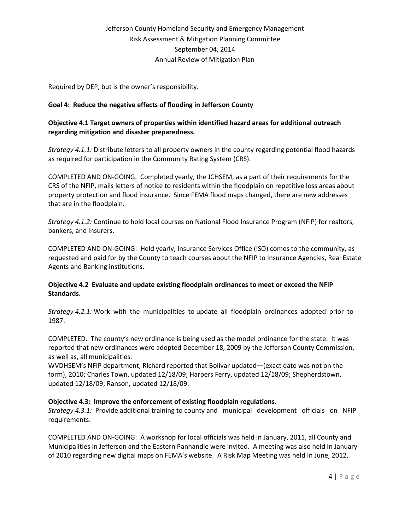Required by DEP, but is the owner's responsibility.

# **Goal 4: Reduce the negative effects of flooding in Jefferson County**

# **Objective 4.1 Target owners of properties within identified hazard areas for additional outreach regarding mitigation and disaster preparedness.**

*Strategy 4.1.1:* Distribute letters to all property owners in the county regarding potential flood hazards as required for participation in the Community Rating System (CRS).

COMPLETED AND ON-GOING. Completed yearly, the JCHSEM, as a part of their requirements for the CRS of the NFIP, mails letters of notice to residents within the floodplain on repetitive loss areas about property protection and flood insurance. Since FEMA flood maps changed, there are new addresses that are in the floodplain.

*Strategy 4.1.2:* Continue to hold local courses on National Flood Insurance Program (NFIP) for realtors, bankers, and insurers.

COMPLETED AND ON-GOING: Held yearly, Insurance Services Office (ISO) comes to the community, as requested and paid for by the County to teach courses about the NFIP to Insurance Agencies, Real Estate Agents and Banking institutions.

# **Objective 4.2 Evaluate and update existing floodplain ordinances to meet or exceed the NFIP Standards.**

*Strategy 4.2.1:* Work with the municipalities to update all floodplain ordinances adopted prior to 1987.

COMPLETED. The county's new ordinance is being used as the model ordinance for the state. It was reported that new ordinances were adopted December 18, 2009 by the Jefferson County Commission, as well as, all municipalities.

WVDHSEM's NFIP department, Richard reported that Bolivar updated—(exact date was not on the form), 2010; Charles Town, updated 12/18/09; Harpers Ferry, updated 12/18/09; Shepherdstown, updated 12/18/09; Ranson, updated 12/18/09.

# **Objective 4.3: Improve the enforcement of existing floodplain regulations.**

*Strategy 4.3.1:* Provide additional training to county and municipal development officials on NFIP requirements.

COMPLETED AND ON-GOING: A workshop for local officials was held in January, 2011, all County and Municipalities in Jefferson and the Eastern Panhandle were invited. A meeting was also held in January of 2010 regarding new digital maps on FEMA's website. A Risk Map Meeting was held In June, 2012,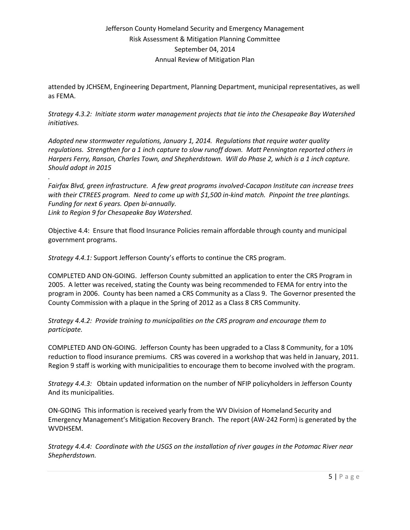attended by JCHSEM, Engineering Department, Planning Department, municipal representatives, as well as FEMA.

*Strategy 4.3.2: Initiate storm water management projects that tie into the Chesapeake Bay Watershed initiatives.*

*Adopted new stormwater regulations, January 1, 2014. Regulations that require water quality regulations. Strengthen for a 1 inch capture to slow runoff down. Matt Pennington reported others in Harpers Ferry, Ranson, Charles Town, and Shepherdstown. Will do Phase 2, which is a 1 inch capture. Should adopt in 2015*

*. Fairfax Blvd, green infrastructure. A few great programs involved-Cacapon Institute can increase trees with their CTREES program. Need to come up with \$1,500 in-kind match. Pinpoint the tree plantings. Funding for next 6 years. Open bi-annually. Link to Region 9 for Chesapeake Bay Watershed.*

Objective 4.4: Ensure that flood Insurance Policies remain affordable through county and municipal government programs.

*Strategy 4.4.1:* Support Jefferson County's efforts to continue the CRS program.

COMPLETED AND ON-GOING. Jefferson County submitted an application to enter the CRS Program in 2005. A letter was received, stating the County was being recommended to FEMA for entry into the program in 2006. County has been named a CRS Community as a Class 9. The Governor presented the County Commission with a plaque in the Spring of 2012 as a Class 8 CRS Community.

*Strategy 4.4.2: Provide training to municipalities on the CRS program and encourage them to participate.* 

COMPLETED AND ON-GOING. Jefferson County has been upgraded to a Class 8 Community, for a 10% reduction to flood insurance premiums. CRS was covered in a workshop that was held in January, 2011. Region 9 staff is working with municipalities to encourage them to become involved with the program.

*Strategy 4.4.3:* Obtain updated information on the number of NFIP policyholders in Jefferson County And its municipalities.

ON-GOING This information is received yearly from the WV Division of Homeland Security and Emergency Management's Mitigation Recovery Branch. The report (AW-242 Form) is generated by the WVDHSEM.

*Strategy 4.4.4: Coordinate with the USGS on the installation of river gauges in the Potomac River near Shepherdstown.*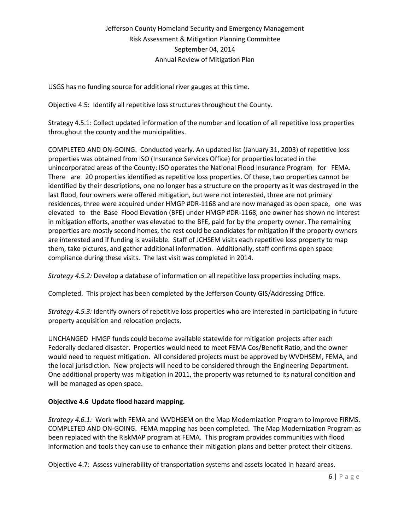USGS has no funding source for additional river gauges at this time.

Objective 4.5: Identify all repetitive loss structures throughout the County.

Strategy 4.5.1: Collect updated information of the number and location of all repetitive loss properties throughout the county and the municipalities.

COMPLETED AND ON-GOING. Conducted yearly. An updated list (January 31, 2003) of repetitive loss properties was obtained from ISO (Insurance Services Office) for properties located in the unincorporated areas of the County: ISO operates the National Flood Insurance Program for FEMA. There are 20 properties identified as repetitive loss properties. Of these, two properties cannot be identified by their descriptions, one no longer has a structure on the property as it was destroyed in the last flood, four owners were offered mitigation, but were not interested, three are not primary residences, three were acquired under HMGP #DR-1168 and are now managed as open space, one was elevated to the Base Flood Elevation (BFE) under HMGP #DR-1168, one owner has shown no interest in mitigation efforts, another was elevated to the BFE, paid for by the property owner. The remaining properties are mostly second homes, the rest could be candidates for mitigation if the property owners are interested and if funding is available. Staff of JCHSEM visits each repetitive loss property to map them, take pictures, and gather additional information. Additionally, staff confirms open space compliance during these visits. The last visit was completed in 2014.

*Strategy 4.5.2:* Develop a database of information on all repetitive loss properties including maps.

Completed. This project has been completed by the Jefferson County GIS/Addressing Office.

*Strategy 4.5.3:* Identify owners of repetitive loss properties who are interested in participating in future property acquisition and relocation projects.

UNCHANGED HMGP funds could become available statewide for mitigation projects after each Federally declared disaster. Properties would need to meet FEMA Cos/Benefit Ratio, and the owner would need to request mitigation. All considered projects must be approved by WVDHSEM, FEMA, and the local jurisdiction. New projects will need to be considered through the Engineering Department. One additional property was mitigation in 2011, the property was returned to its natural condition and will be managed as open space.

# **Objective 4.6 Update flood hazard mapping.**

*Strategy 4.6.1:* Work with FEMA and WVDHSEM on the Map Modernization Program to improve FIRMS. COMPLETED AND ON-GOING. FEMA mapping has been completed. The Map Modernization Program as been replaced with the RiskMAP program at FEMA. This program provides communities with flood information and tools they can use to enhance their mitigation plans and better protect their citizens.

Objective 4.7: Assess vulnerability of transportation systems and assets located in hazard areas.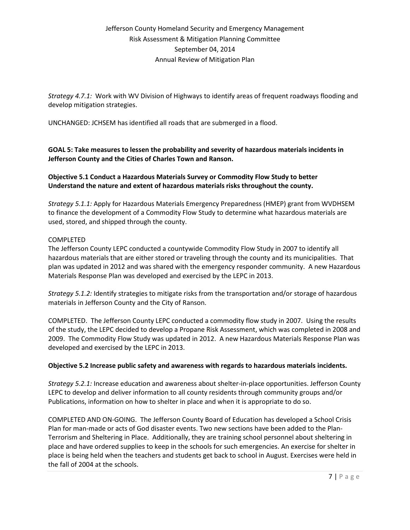*Strategy 4.7.1:* Work with WV Division of Highways to identify areas of frequent roadways flooding and develop mitigation strategies.

UNCHANGED: JCHSEM has identified all roads that are submerged in a flood.

**GOAL 5: Take measures to lessen the probability and severity of hazardous materials incidents in Jefferson County and the Cities of Charles Town and Ranson.**

**Objective 5.1 Conduct a Hazardous Materials Survey or Commodity Flow Study to better Understand the nature and extent of hazardous materials risks throughout the county.**

*Strategy 5.1.1:* Apply for Hazardous Materials Emergency Preparedness (HMEP) grant from WVDHSEM to finance the development of a Commodity Flow Study to determine what hazardous materials are used, stored, and shipped through the county.

# COMPLETED

The Jefferson County LEPC conducted a countywide Commodity Flow Study in 2007 to identify all hazardous materials that are either stored or traveling through the county and its municipalities. That plan was updated in 2012 and was shared with the emergency responder community. A new Hazardous Materials Response Plan was developed and exercised by the LEPC in 2013.

*Strategy 5.1.2:* Identify strategies to mitigate risks from the transportation and/or storage of hazardous materials in Jefferson County and the City of Ranson.

COMPLETED. The Jefferson County LEPC conducted a commodity flow study in 2007. Using the results of the study, the LEPC decided to develop a Propane Risk Assessment, which was completed in 2008 and 2009. The Commodity Flow Study was updated in 2012. A new Hazardous Materials Response Plan was developed and exercised by the LEPC in 2013.

# **Objective 5.2 Increase public safety and awareness with regards to hazardous materials incidents.**

*Strategy 5.2.1:* Increase education and awareness about shelter-in-place opportunities. Jefferson County LEPC to develop and deliver information to all county residents through community groups and/or Publications, information on how to shelter in place and when it is appropriate to do so.

COMPLETED AND ON-GOING. The Jefferson County Board of Education has developed a School Crisis Plan for man-made or acts of God disaster events. Two new sections have been added to the Plan-Terrorism and Sheltering in Place. Additionally, they are training school personnel about sheltering in place and have ordered supplies to keep in the schools for such emergencies. An exercise for shelter in place is being held when the teachers and students get back to school in August. Exercises were held in the fall of 2004 at the schools.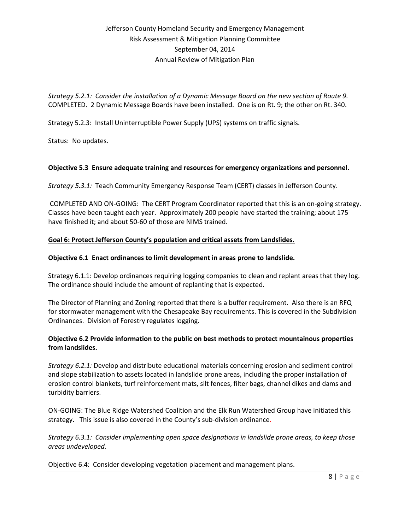*Strategy 5.2.1: Consider the installation of a Dynamic Message Board on the new section of Route 9.* COMPLETED. 2 Dynamic Message Boards have been installed. One is on Rt. 9; the other on Rt. 340.

Strategy 5.2.3: Install Uninterruptible Power Supply (UPS) systems on traffic signals.

Status: No updates.

# **Objective 5.3 Ensure adequate training and resources for emergency organizations and personnel.**

*Strategy 5.3.1:* Teach Community Emergency Response Team (CERT) classes in Jefferson County.

COMPLETED AND ON-GOING: The CERT Program Coordinator reported that this is an on-going strategy. Classes have been taught each year. Approximately 200 people have started the training; about 175 have finished it; and about 50-60 of those are NIMS trained.

# **Goal 6: Protect Jefferson County's population and critical assets from Landslides.**

### **Objective 6.1 Enact ordinances to limit development in areas prone to landslide.**

Strategy 6.1.1: Develop ordinances requiring logging companies to clean and replant areas that they log. The ordinance should include the amount of replanting that is expected.

The Director of Planning and Zoning reported that there is a buffer requirement. Also there is an RFQ for stormwater management with the Chesapeake Bay requirements. This is covered in the Subdivision Ordinances. Division of Forestry regulates logging.

### **Objective 6.2 Provide information to the public on best methods to protect mountainous properties from landslides.**

*Strategy 6.2.1:* Develop and distribute educational materials concerning erosion and sediment control and slope stabilization to assets located in landslide prone areas, including the proper installation of erosion control blankets, turf reinforcement mats, silt fences, filter bags, channel dikes and dams and turbidity barriers.

ON-GOING: The Blue Ridge Watershed Coalition and the Elk Run Watershed Group have initiated this strategy. This issue is also covered in the County's sub-division ordinance.

*Strategy 6.3.1: Consider implementing open space designations in landslide prone areas, to keep those areas undeveloped.*

Objective 6.4: Consider developing vegetation placement and management plans.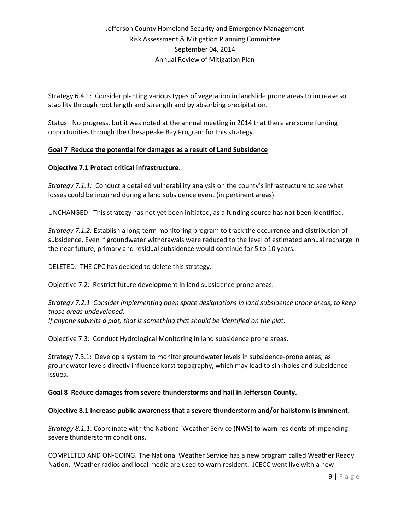Strategy 6.4.1: Consider planting various types of vegetation in landslide prone areas to increase soil stability through root length and strength and by absorbing precipitation.

Status: No progress, but it was noted at the annual meeting in 2014 that there are some funding opportunities through the Chesapeake Bay Program for this strategy.

# **Goal 7 Reduce the potential for damages as a result of Land Subsidence**

### **Objective 7.1 Protect critical infrastructure.**

*Strategy 7.1.1:* Conduct a detailed vulnerability analysis on the county's infrastructure to see what losses could be incurred during a land subsidence event (in pertinent areas).

UNCHANGED: This strategy has not yet been initiated, as a funding source has not been identified.

*Strategy 7.1.2:* Establish a long-term monitoring program to track the occurrence and distribution of subsidence. Even if groundwater withdrawals were reduced to the level of estimated annual recharge in the near future, primary and residual subsidence would continue for 5 to 10 years.

DELETED: THE CPC has decided to delete this strategy.

Objective 7.2: Restrict future development in land subsidence prone areas.

*Strategy 7.2.1 Consider implementing open space designations in land subsidence prone areas, to keep those areas undeveloped. If anyone submits a plat, that is something that should be identified on the plat.*

Objective 7.3: Conduct Hydrological Monitoring in land subsidence prone areas.

Strategy 7.3.1: Develop a system to monitor groundwater levels in subsidence-prone areas, as groundwater levels directly influence karst topography, which may lead to sinkholes and subsidence issues.

### **Goal 8 Reduce damages from severe thunderstorms and hail in Jefferson County.**

### **Objective 8.1 Increase public awareness that a severe thunderstorm and/or hailstorm is imminent.**

*Strategy 8.1.1*: Coordinate with the National Weather Service (NWS) to warn residents of impending severe thunderstorm conditions.

COMPLETED AND ON-GOING. The National Weather Service has a new program called Weather Ready Nation. Weather radios and local media are used to warn resident. JCECC went live with a new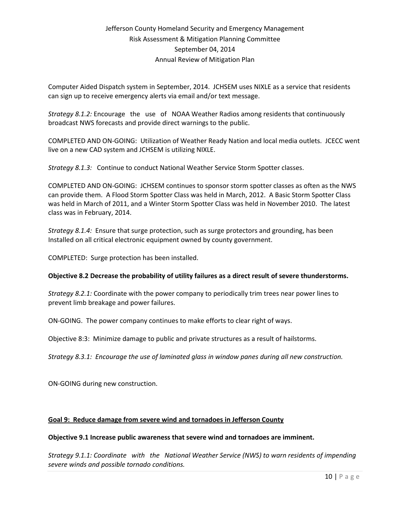Computer Aided Dispatch system in September, 2014. JCHSEM uses NIXLE as a service that residents can sign up to receive emergency alerts via email and/or text message.

*Strategy 8.1.2:* Encourage the use of NOAA Weather Radios among residents that continuously broadcast NWS forecasts and provide direct warnings to the public.

COMPLETED AND ON-GOING: Utilization of Weather Ready Nation and local media outlets. JCECC went live on a new CAD system and JCHSEM is utilizing NIXLE.

*Strategy 8.1.3:* Continue to conduct National Weather Service Storm Spotter classes.

COMPLETED AND ON-GOING: JCHSEM continues to sponsor storm spotter classes as often as the NWS can provide them. A Flood Storm Spotter Class was held in March, 2012. A Basic Storm Spotter Class was held in March of 2011, and a Winter Storm Spotter Class was held in November 2010. The latest class was in February, 2014.

*Strategy 8.1.4:* Ensure that surge protection, such as surge protectors and grounding, has been Installed on all critical electronic equipment owned by county government.

COMPLETED: Surge protection has been installed.

### **Objective 8.2 Decrease the probability of utility failures as a direct result of severe thunderstorms.**

*Strategy 8.2.1:* Coordinate with the power company to periodically trim trees near power lines to prevent limb breakage and power failures.

ON-GOING. The power company continues to make efforts to clear right of ways.

Objective 8:3: Minimize damage to public and private structures as a result of hailstorms.

*Strategy 8.3.1: Encourage the use of laminated glass in window panes during all new construction.*

ON-GOING during new construction.

### **Goal 9: Reduce damage from severe wind and tornadoes in Jefferson County**

#### **Objective 9.1 Increase public awareness that severe wind and tornadoes are imminent.**

*Strategy 9.1.1: Coordinate with the National Weather Service (NWS) to warn residents of impending severe winds and possible tornado conditions.*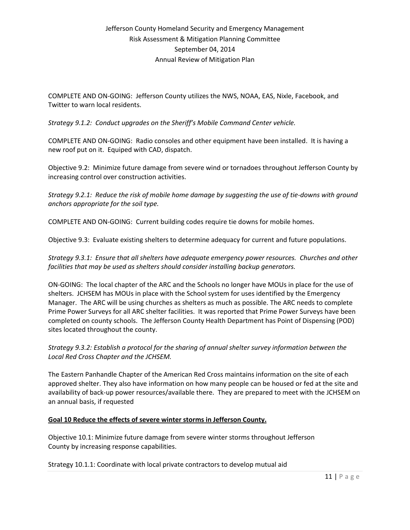COMPLETE AND ON-GOING: Jefferson County utilizes the NWS, NOAA, EAS, Nixle, Facebook, and Twitter to warn local residents.

*Strategy 9.1.2: Conduct upgrades on the Sheriff's Mobile Command Center vehicle.*

COMPLETE AND ON-GOING: Radio consoles and other equipment have been installed. It is having a new roof put on it. Equiped with CAD, dispatch.

Objective 9.2: Minimize future damage from severe wind or tornadoes throughout Jefferson County by increasing control over construction activities.

*Strategy 9.2.1: Reduce the risk of mobile home damage by suggesting the use of tie-downs with ground anchors appropriate for the soil type.*

COMPLETE AND ON-GOING: Current building codes require tie downs for mobile homes.

Objective 9.3: Evaluate existing shelters to determine adequacy for current and future populations.

*Strategy 9.3.1: Ensure that all shelters have adequate emergency power resources. Churches and other facilities that may be used as shelters should consider installing backup generators.*

ON-GOING: The local chapter of the ARC and the Schools no longer have MOUs in place for the use of shelters. JCHSEM has MOUs in place with the School system for uses identified by the Emergency Manager. The ARC will be using churches as shelters as much as possible. The ARC needs to complete Prime Power Surveys for all ARC shelter facilities. It was reported that Prime Power Surveys have been completed on county schools. The Jefferson County Health Department has Point of Dispensing (POD) sites located throughout the county.

*Strategy 9.3.2: Establish a protocol for the sharing of annual shelter survey information between the Local Red Cross Chapter and the JCHSEM.*

The Eastern Panhandle Chapter of the American Red Cross maintains information on the site of each approved shelter. They also have information on how many people can be housed or fed at the site and availability of back-up power resources/available there. They are prepared to meet with the JCHSEM on an annual basis, if requested

### **Goal 10 Reduce the effects of severe winter storms in Jefferson County.**

Objective 10.1: Minimize future damage from severe winter storms throughout Jefferson County by increasing response capabilities.

Strategy 10.1.1: Coordinate with local private contractors to develop mutual aid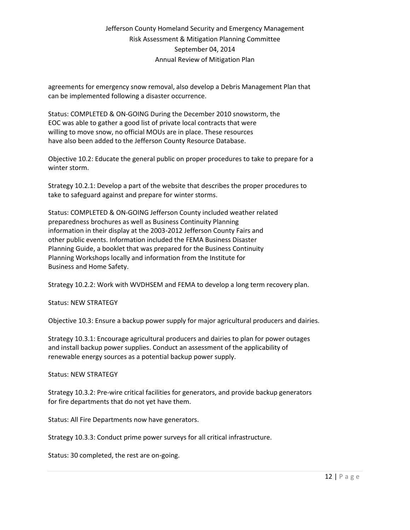agreements for emergency snow removal, also develop a Debris Management Plan that can be implemented following a disaster occurrence.

Status: COMPLETED & ON-GOING During the December 2010 snowstorm, the EOC was able to gather a good list of private local contracts that were willing to move snow, no official MOUs are in place. These resources have also been added to the Jefferson County Resource Database.

Objective 10.2: Educate the general public on proper procedures to take to prepare for a winter storm.

Strategy 10.2.1: Develop a part of the website that describes the proper procedures to take to safeguard against and prepare for winter storms.

Status: COMPLETED & ON-GOING Jefferson County included weather related preparedness brochures as well as Business Continuity Planning information in their display at the 2003-2012 Jefferson County Fairs and other public events. Information included the FEMA Business Disaster Planning Guide, a booklet that was prepared for the Business Continuity Planning Workshops locally and information from the Institute for Business and Home Safety.

Strategy 10.2.2: Work with WVDHSEM and FEMA to develop a long term recovery plan.

Status: NEW STRATEGY

Objective 10.3: Ensure a backup power supply for major agricultural producers and dairies.

Strategy 10.3.1: Encourage agricultural producers and dairies to plan for power outages and install backup power supplies. Conduct an assessment of the applicability of renewable energy sources as a potential backup power supply.

Status: NEW STRATEGY

Strategy 10.3.2: Pre-wire critical facilities for generators, and provide backup generators for fire departments that do not yet have them.

Status: All Fire Departments now have generators.

Strategy 10.3.3: Conduct prime power surveys for all critical infrastructure.

Status: 30 completed, the rest are on-going.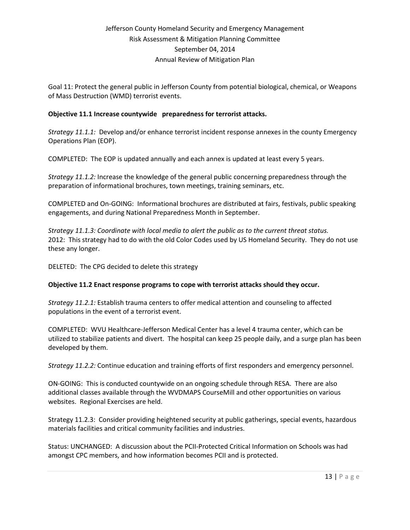Goal 11: Protect the general public in Jefferson County from potential biological, chemical, or Weapons of Mass Destruction (WMD) terrorist events.

### **Objective 11.1 Increase countywide preparedness for terrorist attacks.**

*Strategy 11.1.1:* Develop and/or enhance terrorist incident response annexes in the county Emergency Operations Plan (EOP).

COMPLETED: The EOP is updated annually and each annex is updated at least every 5 years.

*Strategy 11.1.2:* Increase the knowledge of the general public concerning preparedness through the preparation of informational brochures, town meetings, training seminars, etc.

COMPLETED and On-GOING: Informational brochures are distributed at fairs, festivals, public speaking engagements, and during National Preparedness Month in September.

*Strategy 11.1.3: Coordinate with local media to alert the public as to the current threat status.* 2012: This strategy had to do with the old Color Codes used by US Homeland Security. They do not use these any longer.

DELETED: The CPG decided to delete this strategy

### **Objective 11.2 Enact response programs to cope with terrorist attacks should they occur.**

*Strategy 11.2.1:* Establish trauma centers to offer medical attention and counseling to affected populations in the event of a terrorist event.

COMPLETED: WVU Healthcare-Jefferson Medical Center has a level 4 trauma center, which can be utilized to stabilize patients and divert. The hospital can keep 25 people daily, and a surge plan has been developed by them.

*Strategy 11.2.2:* Continue education and training efforts of first responders and emergency personnel.

ON-GOING: This is conducted countywide on an ongoing schedule through RESA. There are also additional classes available through the WVDMAPS CourseMill and other opportunities on various websites. Regional Exercises are held.

Strategy 11.2.3: Consider providing heightened security at public gatherings, special events, hazardous materials facilities and critical community facilities and industries.

Status: UNCHANGED: A discussion about the PCII-Protected Critical Information on Schools was had amongst CPC members, and how information becomes PCII and is protected.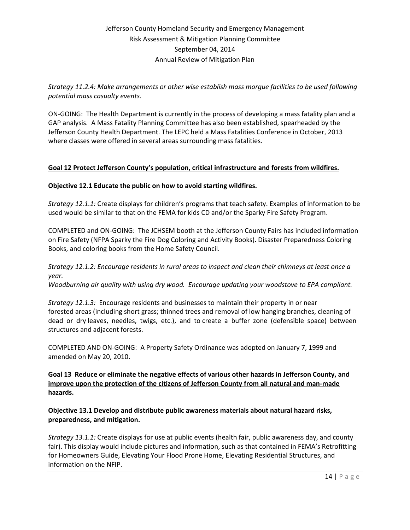*Strategy 11.2.4: Make arrangements or other wise establish mass morgue facilities to be used following potential mass casualty events.* 

ON-GOING: The Health Department is currently in the process of developing a mass fatality plan and a GAP analysis. A Mass Fatality Planning Committee has also been established, spearheaded by the Jefferson County Health Department. The LEPC held a Mass Fatalities Conference in October, 2013 where classes were offered in several areas surrounding mass fatalities.

# **Goal 12 Protect Jefferson County's population, critical infrastructure and forests from wildfires.**

### **Objective 12.1 Educate the public on how to avoid starting wildfires.**

*Strategy 12.1.1:* Create displays for children's programs that teach safety. Examples of information to be used would be similar to that on the FEMA for kids CD and/or the Sparky Fire Safety Program.

COMPLETED and ON-GOING: The JCHSEM booth at the Jefferson County Fairs has included information on Fire Safety (NFPA Sparky the Fire Dog Coloring and Activity Books). Disaster Preparedness Coloring Books, and coloring books from the Home Safety Council.

# *Strategy 12.1.2: Encourage residents in rural areas to inspect and clean their chimneys at least once a year.*

*Woodburning air quality with using dry wood. Encourage updating your woodstove to EPA compliant.*

*Strategy 12.1.3:* Encourage residents and businesses to maintain their property in or near forested areas (including short grass; thinned trees and removal of low hanging branches, cleaning of dead or dry leaves, needles, twigs, etc.), and to create a buffer zone (defensible space) between structures and adjacent forests.

COMPLETED AND ON-GOING: A Property Safety Ordinance was adopted on January 7, 1999 and amended on May 20, 2010.

**Goal 13 Reduce or eliminate the negative effects of various other hazards in Jefferson County, and improve upon the protection of the citizens of Jefferson County from all natural and man-made hazards.**

**Objective 13.1 Develop and distribute public awareness materials about natural hazard risks, preparedness, and mitigation.**

*Strategy 13.1.1:* Create displays for use at public events (health fair, public awareness day, and county fair). This display would include pictures and information, such as that contained in FEMA's Retrofitting for Homeowners Guide, Elevating Your Flood Prone Home, Elevating Residential Structures, and information on the NFIP.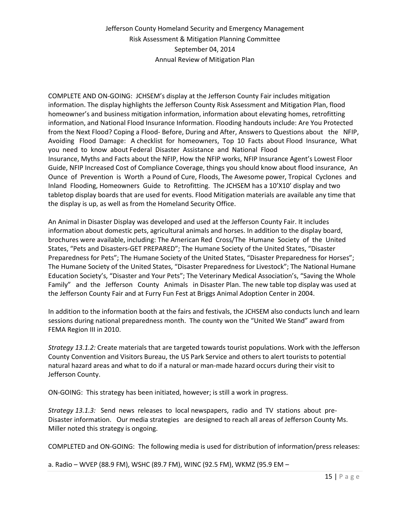COMPLETE AND ON-GOING: JCHSEM's display at the Jefferson County Fair includes mitigation information. The display highlights the Jefferson County Risk Assessment and Mitigation Plan, flood homeowner's and business mitigation information, information about elevating homes, retrofitting information, and National Flood Insurance Information. Flooding handouts include: Are You Protected from the Next Flood? Coping a Flood- Before, During and After, Answers to Questions about the NFIP, Avoiding Flood Damage: A checklist for homeowners, Top 10 Facts about Flood Insurance, What you need to know about Federal Disaster Assistance and National Flood Insurance, Myths and Facts about the NFIP, How the NFIP works, NFIP Insurance Agent's Lowest Floor Guide, NFIP Increased Cost of Compliance Coverage, things you should know about flood insurance, An Ounce of Prevention is Worth a Pound of Cure, Floods, The Awesome power, Tropical Cyclones and Inland Flooding, Homeowners Guide to Retrofitting. The JCHSEM has a 10'X10' display and two tabletop display boards that are used for events. Flood Mitigation materials are available any time that the display is up, as well as from the Homeland Security Office.

An Animal in Disaster Display was developed and used at the Jefferson County Fair. It includes information about domestic pets, agricultural animals and horses. In addition to the display board, brochures were available, including: The American Red Cross/The Humane Society of the United States, "Pets and Disasters-GET PREPARED"; The Humane Society of the United States, "Disaster Preparedness for Pets"; The Humane Society of the United States, "Disaster Preparedness for Horses"; The Humane Society of the United States, "Disaster Preparedness for Livestock"; The National Humane Education Society's, "Disaster and Your Pets"; The Veterinary Medical Association's, "Saving the Whole Family" and the Jefferson County Animals in Disaster Plan. The new table top display was used at the Jefferson County Fair and at Furry Fun Fest at Briggs Animal Adoption Center in 2004.

In addition to the information booth at the fairs and festivals, the JCHSEM also conducts lunch and learn sessions during national preparedness month. The county won the "United We Stand" award from FEMA Region III in 2010.

*Strategy 13.1.2:* Create materials that are targeted towards tourist populations. Work with the Jefferson County Convention and Visitors Bureau, the US Park Service and others to alert tourists to potential natural hazard areas and what to do if a natural or man-made hazard occurs during their visit to Jefferson County.

ON-GOING: This strategy has been initiated, however; is still a work in progress.

*Strategy 13.1.3:* Send news releases to local newspapers, radio and TV stations about pre-Disaster information. Our media strategies are designed to reach all areas of Jefferson County Ms. Miller noted this strategy is ongoing.

COMPLETED and ON-GOING: The following media is used for distribution of information/press releases:

a. Radio – WVEP (88.9 FM), WSHC (89.7 FM), WINC (92.5 FM), WKMZ (95.9 EM –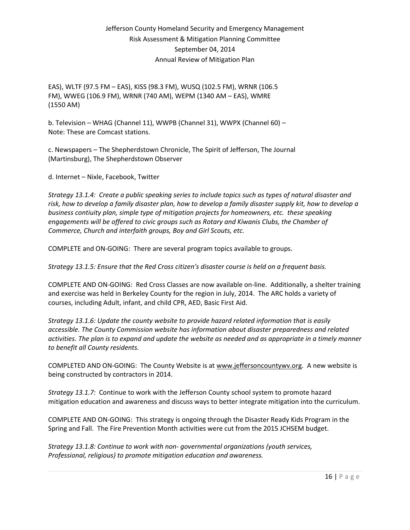EAS), WLTF (97.5 FM – EAS), KISS (98.3 FM), WUSQ (102.5 FM), WRNR (106.5 FM), WWEG (106.9 FM), WRNR (740 AM), WEPM (1340 AM – EAS), WMRE (1550 AM)

b. Television – WHAG (Channel 11), WWPB (Channel 31), WWPX (Channel 60) – Note: These are Comcast stations.

c. Newspapers – The Shepherdstown Chronicle, The Spirit of Jefferson, The Journal (Martinsburg), The Shepherdstown Observer

d. Internet – Nixle, Facebook, Twitter

*Strategy 13.1.4: Create a public speaking series to include topics such as types of natural disaster and risk, how to develop a family disaster plan, how to develop a family disaster supply kit, how to develop a business contiuity plan, simple type of mitigation projects for homeowners, etc. these speaking engagements will be offered to civic groups such as Rotary and Kiwanis Clubs, the Chamber of Commerce, Church and interfaith groups, Boy and Girl Scouts, etc.*

COMPLETE and ON-GOING: There are several program topics available to groups.

*Strategy 13.1.5: Ensure that the Red Cross citizen's disaster course is held on a frequent basis.*

COMPLETE AND ON-GOING: Red Cross Classes are now available on-line. Additionally, a shelter training and exercise was held in Berkeley County for the region in July, 2014. The ARC holds a variety of courses, including Adult, infant, and child CPR, AED, Basic First Aid.

*Strategy 13.1.6: Update the county website to provide hazard related information that is easily accessible. The County Commission website has information about disaster preparedness and related activities. The plan is to expand and update the website as needed and as appropriate in a timely manner to benefit all County residents.*

COMPLETED AND ON-GOING: The County Website is at [www.jeffersoncountywv.org.](http://www.jeffersoncountywv.org/) A new website is being constructed by contractors in 2014.

*Strategy 13.1.7:* Continue to work with the Jefferson County school system to promote hazard mitigation education and awareness and discuss ways to better integrate mitigation into the curriculum.

COMPLETE AND ON-GOING: This strategy is ongoing through the Disaster Ready Kids Program in the Spring and Fall. The Fire Prevention Month activities were cut from the 2015 JCHSEM budget.

*Strategy 13.1.8: Continue to work with non- governmental organizations (youth services, Professional, religious) to promote mitigation education and awareness.*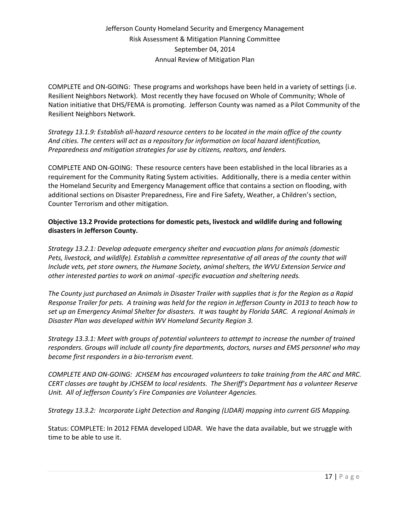COMPLETE and ON-GOING: These programs and workshops have been held in a variety of settings (i.e. Resilient Neighbors Network). Most recently they have focused on Whole of Community; Whole of Nation initiative that DHS/FEMA is promoting. Jefferson County was named as a Pilot Community of the Resilient Neighbors Network.

*Strategy 13.1.9: Establish all-hazard resource centers to be located in the main office of the county And cities. The centers will act as a repository for information on local hazard identification, Preparedness and mitigation strategies for use by citizens, realtors, and lenders.*

COMPLETE AND ON-GOING: These resource centers have been established in the local libraries as a requirement for the Community Rating System activities. Additionally, there is a media center within the Homeland Security and Emergency Management office that contains a section on flooding, with additional sections on Disaster Preparedness, Fire and Fire Safety, Weather, a Children's section, Counter Terrorism and other mitigation.

# **Objective 13.2 Provide protections for domestic pets, livestock and wildlife during and following disasters in Jefferson County.**

*Strategy 13.2.1: Develop adequate emergency shelter and evacuation plans for animals (domestic Pets, livestock, and wildlife). Establish a committee representative of all areas of the county that will Include vets, pet store owners, the Humane Society, animal shelters, the WVU Extension Service and other interested parties to work on animal -specific evacuation and sheltering needs.*

*The County just purchased an Animals in Disaster Trailer with supplies that is for the Region as a Rapid Response Trailer for pets. A training was held for the region in Jefferson County in 2013 to teach how to set up an Emergency Animal Shelter for disasters. It was taught by Florida SARC. A regional Animals in Disaster Plan was developed within WV Homeland Security Region 3.*

*Strategy 13.3.1: Meet with groups of potential volunteers to attempt to increase the number of trained responders. Groups will include all county fire departments, doctors, nurses and EMS personnel who may become first responders in a bio-terrorism event.*

*COMPLETE AND ON-GOING: JCHSEM has encouraged volunteers to take training from the ARC and MRC. CERT classes are taught by JCHSEM to local residents. The Sheriff's Department has a volunteer Reserve Unit. All of Jefferson County's Fire Companies are Volunteer Agencies.*

*Strategy 13.3.2: Incorporate Light Detection and Ranging (LIDAR) mapping into current GIS Mapping.*

Status: COMPLETE: In 2012 FEMA developed LIDAR. We have the data available, but we struggle with time to be able to use it.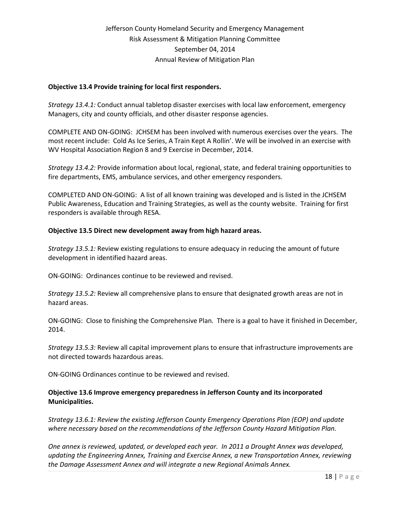### **Objective 13.4 Provide training for local first responders.**

*Strategy 13.4.1:* Conduct annual tabletop disaster exercises with local law enforcement, emergency Managers, city and county officials, and other disaster response agencies.

COMPLETE AND ON-GOING: JCHSEM has been involved with numerous exercises over the years. The most recent include: Cold As Ice Series, A Train Kept A Rollin'. We will be involved in an exercise with WV Hospital Association Region 8 and 9 Exercise in December, 2014.

*Strategy 13.4.2:* Provide information about local, regional, state, and federal training opportunities to fire departments, EMS, ambulance services, and other emergency responders.

COMPLETED AND ON-GOING: A list of all known training was developed and is listed in the JCHSEM Public Awareness, Education and Training Strategies, as well as the county website. Training for first responders is available through RESA.

### **Objective 13.5 Direct new development away from high hazard areas.**

*Strategy 13.5.1:* Review existing regulations to ensure adequacy in reducing the amount of future development in identified hazard areas.

ON-GOING: Ordinances continue to be reviewed and revised.

*Strategy 13.5.2:* Review all comprehensive plans to ensure that designated growth areas are not in hazard areas.

ON-GOING: Close to finishing the Comprehensive Plan. There is a goal to have it finished in December, 2014.

*Strategy 13.5.3:* Review all capital improvement plans to ensure that infrastructure improvements are not directed towards hazardous areas.

ON-GOING Ordinances continue to be reviewed and revised.

### **Objective 13.6 Improve emergency preparedness in Jefferson County and its incorporated Municipalities.**

*Strategy 13.6.1: Review the existing Jefferson County Emergency Operations Plan (EOP) and update where necessary based on the recommendations of the Jefferson County Hazard Mitigation Plan.*

*One annex is reviewed, updated, or developed each year. In 2011 a Drought Annex was developed, updating the Engineering Annex, Training and Exercise Annex, a new Transportation Annex, reviewing the Damage Assessment Annex and will integrate a new Regional Animals Annex.*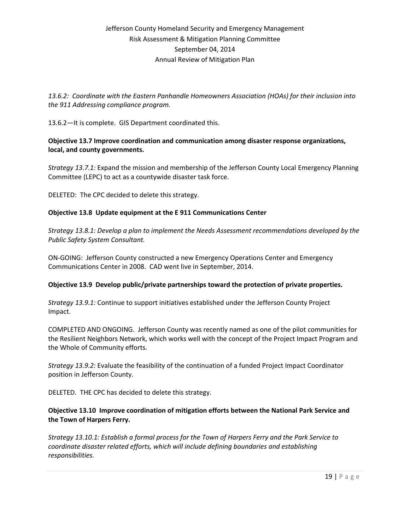*13.6.2: Coordinate with the Eastern Panhandle Homeowners Association (HOAs) for their inclusion into the 911 Addressing compliance program.*

13.6.2—It is complete. GIS Department coordinated this.

**Objective 13.7 Improve coordination and communication among disaster response organizations, local, and county governments.**

*Strategy 13.7.1:* Expand the mission and membership of the Jefferson County Local Emergency Planning Committee (LEPC) to act as a countywide disaster task force.

DELETED: The CPC decided to delete this strategy.

### **Objective 13.8 Update equipment at the E 911 Communications Center**

*Strategy 13.8.1: Develop a plan to implement the Needs Assessment recommendations developed by the Public Safety System Consultant.*

ON-GOING: Jefferson County constructed a new Emergency Operations Center and Emergency Communications Center in 2008. CAD went live in September, 2014.

### **Objective 13.9 Develop public/private partnerships toward the protection of private properties.**

*Strategy 13.9.1:* Continue to support initiatives established under the Jefferson County Project Impact.

COMPLETED AND ONGOING. Jefferson County was recently named as one of the pilot communities for the Resilient Neighbors Network, which works well with the concept of the Project Impact Program and the Whole of Community efforts.

*Strategy 13.9.2:* Evaluate the feasibility of the continuation of a funded Project Impact Coordinator position in Jefferson County.

DELETED. THE CPC has decided to delete this strategy.

# **Objective 13.10 Improve coordination of mitigation efforts between the National Park Service and the Town of Harpers Ferry.**

*Strategy 13.10.1: Establish a formal process for the Town of Harpers Ferry and the Park Service to coordinate disaster related efforts, which will include defining boundaries and establishing responsibilities.*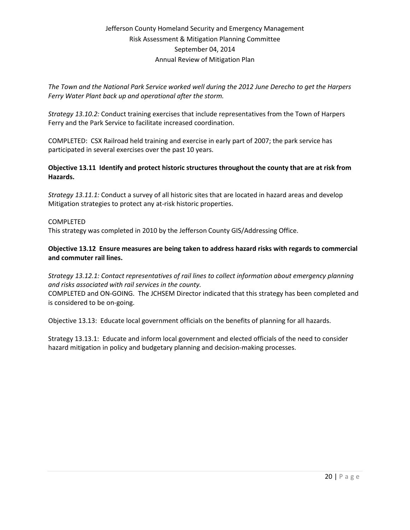*The Town and the National Park Service worked well during the 2012 June Derecho to get the Harpers Ferry Water Plant back up and operational after the storm.*

*Strategy 13.10.2:* Conduct training exercises that include representatives from the Town of Harpers Ferry and the Park Service to facilitate increased coordination.

COMPLETED: CSX Railroad held training and exercise in early part of 2007; the park service has participated in several exercises over the past 10 years.

# **Objective 13.11 Identify and protect historic structures throughout the county that are at risk from Hazards.**

*Strategy 13.11.1:* Conduct a survey of all historic sites that are located in hazard areas and develop Mitigation strategies to protect any at-risk historic properties.

### COMPLETED

This strategy was completed in 2010 by the Jefferson County GIS/Addressing Office.

### **Objective 13.12 Ensure measures are being taken to address hazard risks with regards to commercial and commuter rail lines.**

*Strategy 13.12.1: Contact representatives of rail lines to collect information about emergency planning and risks associated with rail services in the county.*

COMPLETED and ON-GOING. The JCHSEM Director indicated that this strategy has been completed and is considered to be on-going.

Objective 13.13: Educate local government officials on the benefits of planning for all hazards.

Strategy 13.13.1: Educate and inform local government and elected officials of the need to consider hazard mitigation in policy and budgetary planning and decision-making processes.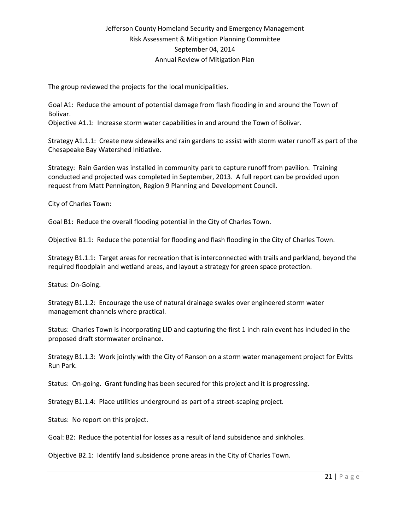The group reviewed the projects for the local municipalities.

Goal A1: Reduce the amount of potential damage from flash flooding in and around the Town of Bolivar.

Objective A1.1: Increase storm water capabilities in and around the Town of Bolivar.

Strategy A1.1.1: Create new sidewalks and rain gardens to assist with storm water runoff as part of the Chesapeake Bay Watershed Initiative.

Strategy: Rain Garden was installed in community park to capture runoff from pavilion. Training conducted and projected was completed in September, 2013. A full report can be provided upon request from Matt Pennington, Region 9 Planning and Development Council.

City of Charles Town:

Goal B1: Reduce the overall flooding potential in the City of Charles Town.

Objective B1.1: Reduce the potential for flooding and flash flooding in the City of Charles Town.

Strategy B1.1.1: Target areas for recreation that is interconnected with trails and parkland, beyond the required floodplain and wetland areas, and layout a strategy for green space protection.

Status: On-Going.

Strategy B1.1.2: Encourage the use of natural drainage swales over engineered storm water management channels where practical.

Status: Charles Town is incorporating LID and capturing the first 1 inch rain event has included in the proposed draft stormwater ordinance.

Strategy B1.1.3: Work jointly with the City of Ranson on a storm water management project for Evitts Run Park.

Status: On-going. Grant funding has been secured for this project and it is progressing.

Strategy B1.1.4: Place utilities underground as part of a street-scaping project.

Status: No report on this project.

Goal: B2: Reduce the potential for losses as a result of land subsidence and sinkholes.

Objective B2.1: Identify land subsidence prone areas in the City of Charles Town.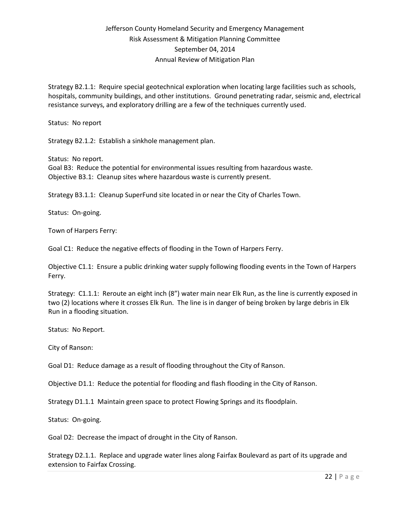Strategy B2.1.1: Require special geotechnical exploration when locating large facilities such as schools, hospitals, community buildings, and other institutions. Ground penetrating radar, seismic and, electrical resistance surveys, and exploratory drilling are a few of the techniques currently used.

Status: No report

Strategy B2.1.2: Establish a sinkhole management plan.

Status: No report. Goal B3: Reduce the potential for environmental issues resulting from hazardous waste. Objective B3.1: Cleanup sites where hazardous waste is currently present.

Strategy B3.1.1: Cleanup SuperFund site located in or near the City of Charles Town.

Status: On-going.

Town of Harpers Ferry:

Goal C1: Reduce the negative effects of flooding in the Town of Harpers Ferry.

Objective C1.1: Ensure a public drinking water supply following flooding events in the Town of Harpers Ferry.

Strategy: C1.1.1: Reroute an eight inch (8") water main near Elk Run, as the line is currently exposed in two (2) locations where it crosses Elk Run. The line is in danger of being broken by large debris in Elk Run in a flooding situation.

Status: No Report.

City of Ranson:

Goal D1: Reduce damage as a result of flooding throughout the City of Ranson.

Objective D1.1: Reduce the potential for flooding and flash flooding in the City of Ranson.

Strategy D1.1.1 Maintain green space to protect Flowing Springs and its floodplain.

Status: On-going.

Goal D2: Decrease the impact of drought in the City of Ranson.

Strategy D2.1.1. Replace and upgrade water lines along Fairfax Boulevard as part of its upgrade and extension to Fairfax Crossing.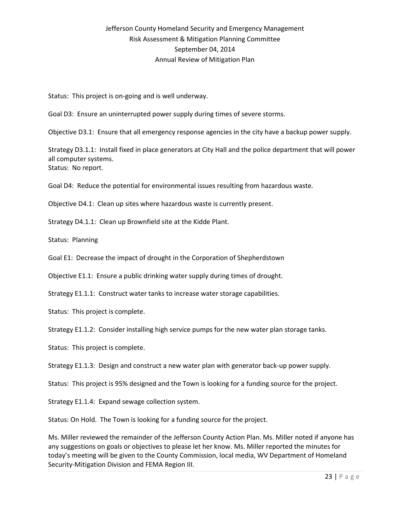Status: This project is on-going and is well underway.

Goal D3: Ensure an uninterrupted power supply during times of severe storms.

Objective D3.1: Ensure that all emergency response agencies in the city have a backup power supply.

Strategy D3.1.1: Install fixed in place generators at City Hall and the police department that will power all computer systems. Status: No report.

Goal D4: Reduce the potential for environmental issues resulting from hazardous waste.

Objective D4.1: Clean up sites where hazardous waste is currently present.

Strategy D4.1.1: Clean up Brownfield site at the Kidde Plant.

Status: Planning

Goal E1: Decrease the impact of drought in the Corporation of Shepherdstown

Objective E1.1: Ensure a public drinking water supply during times of drought.

Strategy E1.1.1: Construct water tanks to increase water storage capabilities.

Status: This project is complete.

Strategy E1.1.2: Consider installing high service pumps for the new water plan storage tanks.

Status: This project is complete.

Strategy E1.1.3: Design and construct a new water plan with generator back-up power supply.

Status: This project is 95% designed and the Town is looking for a funding source for the project.

Strategy E1.1.4: Expand sewage collection system.

Status: On Hold. The Town is looking for a funding source for the project.

Ms. Miller reviewed the remainder of the Jefferson County Action Plan. Ms. Miller noted if anyone has any suggestions on goals or objectives to please let her know. Ms. Miller reported the minutes for today's meeting will be given to the County Commission, local media, WV Department of Homeland Security-Mitigation Division and FEMA Region III.